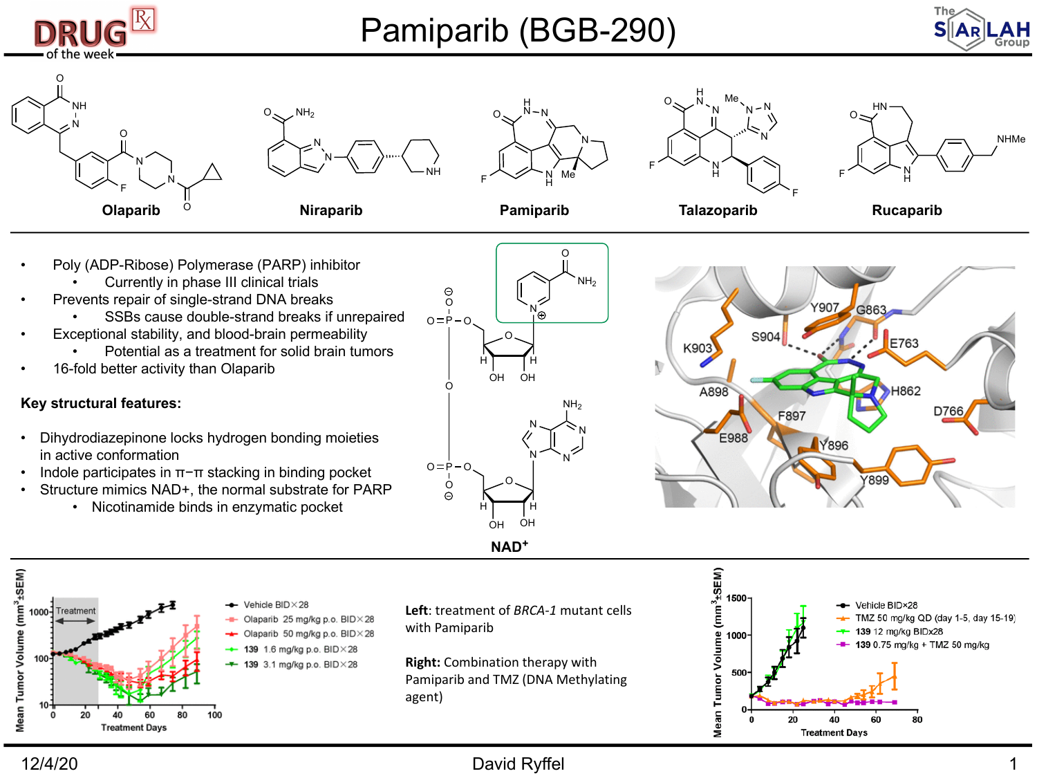

- Poly (ADP-Ribose) Polymerase (PARP) inhibitor
	- Currently in phase III clinical trials
- Prevents repair of single-strand DNA breaks
	- SSBs cause double-strand breaks if unrepaired
- Exceptional stability, and blood-brain permeability
	- Potential as a treatment for solid brain tumors
- 16-fold better activity than Olaparib

## **Key structural features:**

- Dihydrodiazepinone locks hydrogen bonding moieties in active conformation
- Indole participates in π−π stacking in binding pocket
- Structure mimics NAD+, the normal substrate for PARP
	- Nicotinamide binds in enzymatic pocket





Mean Tumor Volume (mm<sup>3</sup>±SEM) Vehicle RID × 28 1000-Treatment Olaparib 25 mg/kg p.o. BID × 28 Olaparib 50 mg/kg p.o. BID × 28  $\rightarrow$  139 1.6 mg/kg p.o. BID $\times$ 28  $+$  139 3.1 mg/kg p.o. BID × 28  $20$ 100 60 80 **Treatment Days** 

**Left**: treatment of *BRCA-1* mutant cells with Pamiparib

**Right:** Combination therapy with Pamiparib and TMZ (DNA Methylating agent)